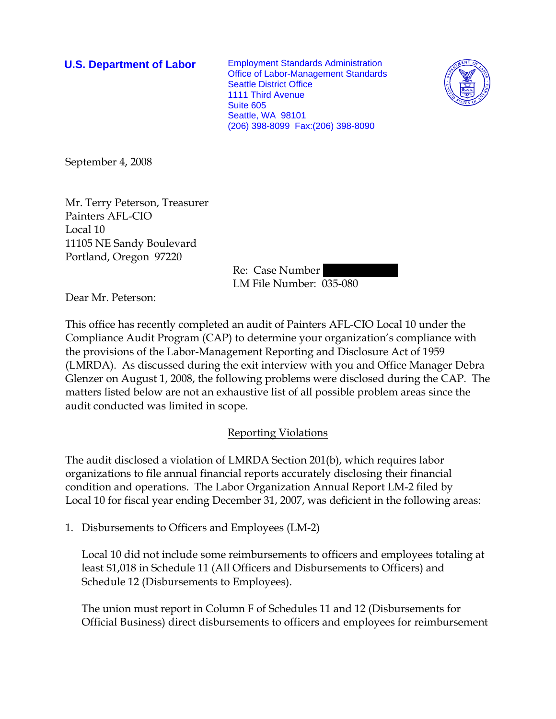**U.S. Department of Labor** Employment Standards Administration Office of Labor-Management Standards Seattle District Office 1111 Third Avenue Suite 605 Seattle, WA 98101 (206) 398-8099 Fax:(206) 398-8090



September 4, 2008

Mr. Terry Peterson, Treasurer Painters AFL-CIO Local 10 11105 NE Sandy Boulevard Portland, Oregon 97220

> Re: Case Number LM File Number: 035-080

Dear Mr. Peterson:

This office has recently completed an audit of Painters AFL-CIO Local 10 under the Compliance Audit Program (CAP) to determine your organization's compliance with the provisions of the Labor-Management Reporting and Disclosure Act of 1959 (LMRDA). As discussed during the exit interview with you and Office Manager Debra Glenzer on August 1, 2008, the following problems were disclosed during the CAP. The matters listed below are not an exhaustive list of all possible problem areas since the audit conducted was limited in scope.

## Reporting Violations

The audit disclosed a violation of LMRDA Section 201(b), which requires labor organizations to file annual financial reports accurately disclosing their financial condition and operations. The Labor Organization Annual Report LM-2 filed by Local 10 for fiscal year ending December 31, 2007, was deficient in the following areas:

1. Disbursements to Officers and Employees (LM-2)

Local 10 did not include some reimbursements to officers and employees totaling at least \$1,018 in Schedule 11 (All Officers and Disbursements to Officers) and Schedule 12 (Disbursements to Employees).

The union must report in Column F of Schedules 11 and 12 (Disbursements for Official Business) direct disbursements to officers and employees for reimbursement